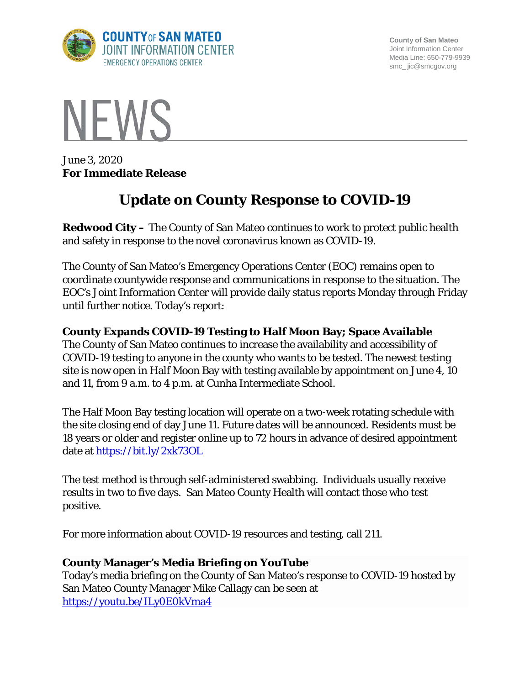

**County of San Mateo** Joint Information Center Media Line: 650-779-9939 smc\_ jic@smcgov.org



June 3, 2020 **For Immediate Release**

# **Update on County Response to COVID-19**

**Redwood City –** The County of San Mateo continues to work to protect public health and safety in response to the novel coronavirus known as COVID-19.

The County of San Mateo's Emergency Operations Center (EOC) remains open to coordinate countywide response and communications in response to the situation. The EOC's Joint Information Center will provide daily status reports Monday through Friday until further notice. Today's report:

## **County Expands COVID-19 Testing to Half Moon Bay; Space Available**

The County of San Mateo continues to increase the availability and accessibility of COVID-19 testing to anyone in the county who wants to be tested. The newest testing site is now open in Half Moon Bay with testing available by appointment on June 4, 10 and 11, from 9 a.m. to 4 p.m. at Cunha Intermediate School.

The Half Moon Bay testing location will operate on a two-week rotating schedule with the site closing end of day June 11. Future dates will be announced. Residents must be 18 years or older and register online up to 72 hours in advance of desired appointment date at <https://bit.ly/2xk73OL>

The test method is through self-administered swabbing. Individuals usually receive results in two to five days. San Mateo County Health will contact those who test positive.

For more information about COVID-19 resources and testing, call 211.

#### **County Manager's Media Briefing on YouTube**

Today's media briefing on the County of San Mateo's response to COVID-19 hosted by San Mateo County Manager Mike Callagy can be seen at <https://youtu.be/ILy0E0kVma4>